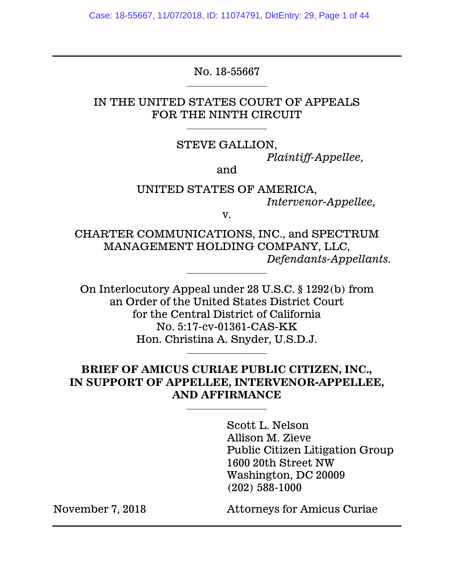Case: 18-55667, 11/07/2018, ID: 11074791, DktEntry: 29, Page 1 of 44

#### No. 18-55667

### IN THE UNITED STATES COURT OF APPEALS FOR THE NINTH CIRCUIT

#### STEVE GALLION,

*Plaintiff-Appellee,*

#### and

#### UNITED STATES OF AMERICA, *Intervenor-Appellee,*

v.

CHARTER COMMUNICATIONS, INC., and SPECTRUM MANAGEMENT HOLDING COMPANY, LLC, *Defendants-Appellants.*

On Interlocutory Appeal under 28 U.S.C. § 1292(b) from an Order of the United States District Court for the Central District of California No. 5:17-cv-01361-CAS-KK Hon. Christina A. Snyder, U.S.D.J.

## **BRIEF OF AMICUS CURIAE PUBLIC CITIZEN, INC., IN SUPPORT OF APPELLEE, INTERVENOR-APPELLEE, AND AFFIRMANCE**

Scott L. Nelson Allison M. Zieve Public Citizen Litigation Group 1600 20th Street NW Washington, DC 20009 (202) 588-1000

November 7, 2018 Attorneys for Amicus Curiae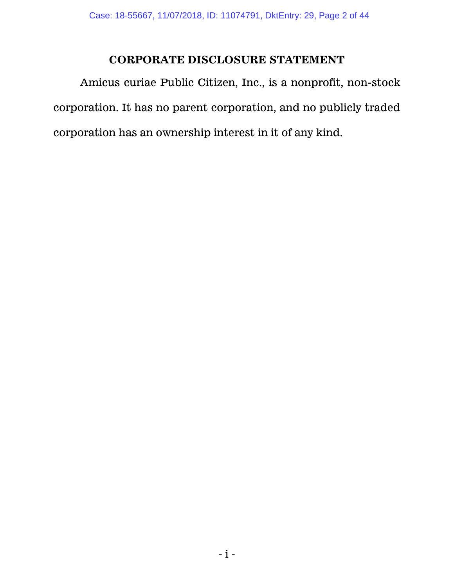# **CORPORATE DISCLOSURE STATEMENT**

Amicus curiae Public Citizen, Inc., is a nonprofit, non-stock corporation. It has no parent corporation, and no publicly traded corporation has an ownership interest in it of any kind.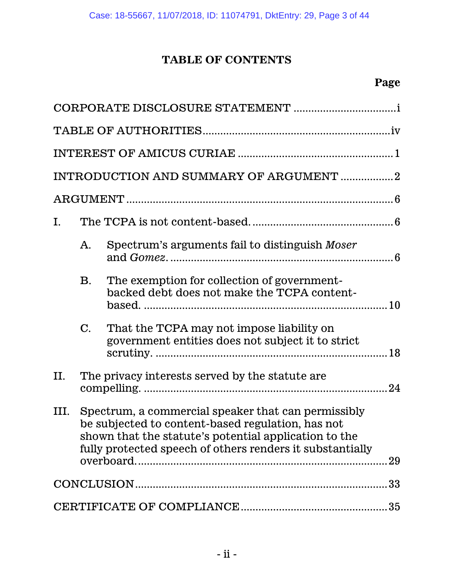# **TABLE OF CONTENTS**

|      |                | INTRODUCTION AND SUMMARY OF ARGUMENT 2                                                                                                                                                                                         |
|------|----------------|--------------------------------------------------------------------------------------------------------------------------------------------------------------------------------------------------------------------------------|
|      |                |                                                                                                                                                                                                                                |
| I.   |                |                                                                                                                                                                                                                                |
|      | A.             | Spectrum's arguments fail to distinguish Moser                                                                                                                                                                                 |
|      | $\mathbf{B}$ . | The exemption for collection of government-<br>backed debt does not make the TCPA content-                                                                                                                                     |
|      | $\mathbf{C}$ . | That the TCPA may not impose liability on<br>government entities does not subject it to strict                                                                                                                                 |
| П.   |                | The privacy interests served by the statute are.                                                                                                                                                                               |
| III. |                | Spectrum, a commercial speaker that can permissibly<br>be subjected to content-based regulation, has not<br>shown that the statute's potential application to the<br>fully protected speech of others renders it substantially |
|      |                |                                                                                                                                                                                                                                |
|      |                |                                                                                                                                                                                                                                |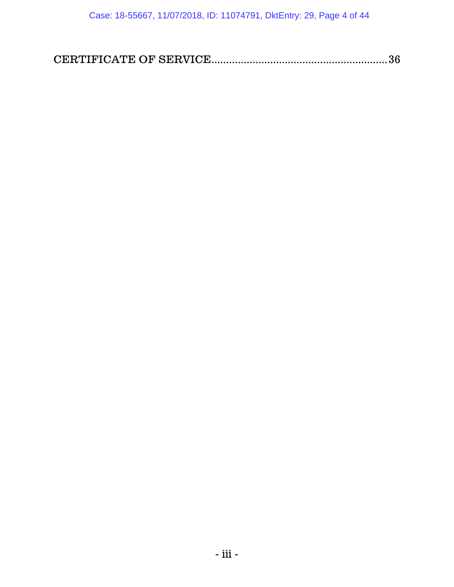|--|--|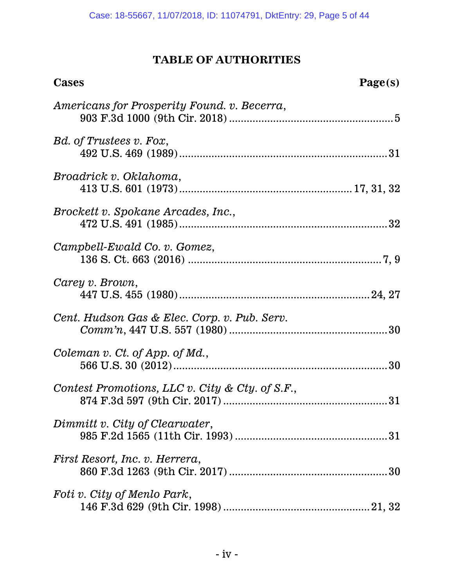# **TABLE OF AUTHORITIES**

| <b>Cases</b>                                    | Page(s) |
|-------------------------------------------------|---------|
| Americans for Prosperity Found. v. Becerra,     |         |
| Bd. of Trustees v. Fox,                         |         |
| Broadrick v. Oklahoma,                          |         |
| Brockett v. Spokane Arcades, Inc.,              |         |
| Campbell-Ewald Co. v. Gomez,                    |         |
| Carey v. Brown,                                 |         |
| Cent. Hudson Gas & Elec. Corp. v. Pub. Serv.    |         |
| Coleman v. Ct. of App. of Md.,                  |         |
| Contest Promotions, LLC v. City & Cty. of S.F., |         |
| Dimmitt v. City of Clearwater,                  |         |
| First Resort, Inc. v. Herrera,                  | 30      |
| Foti v. City of Menlo Park,                     |         |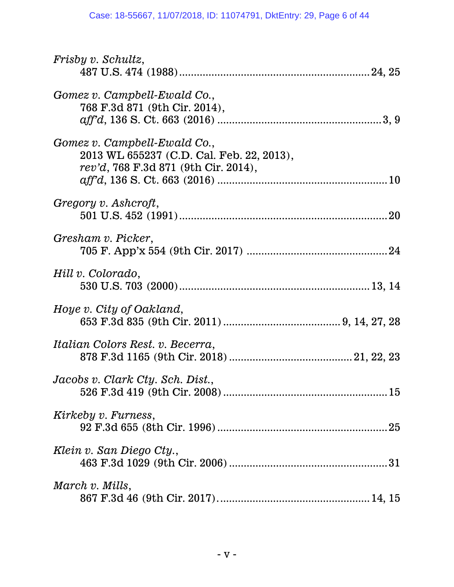| <i>Frisby v. Schultz,</i>                                                                                         |
|-------------------------------------------------------------------------------------------------------------------|
|                                                                                                                   |
| Gomez v. Campbell-Ewald Co.,<br>768 F.3d 871 (9th Cir. 2014),                                                     |
|                                                                                                                   |
| Gomez v. Campbell-Ewald Co.,<br>2013 WL 655237 (C.D. Cal. Feb. 22, 2013),<br>rev'd, 768 F.3d 871 (9th Cir. 2014), |
|                                                                                                                   |
| Gregory v. Ashcroft,                                                                                              |
| Gresham v. Picker,                                                                                                |
| Hill v. Colorado,                                                                                                 |
| Hoye v. City of Oakland,                                                                                          |
| Italian Colors Rest. v. Becerra,                                                                                  |
| Jacobs v. Clark Cty. Sch. Dist.,                                                                                  |
| Kirkeby v. Furness,                                                                                               |
| Klein v. San Diego Cty.,                                                                                          |
| March v. Mills,                                                                                                   |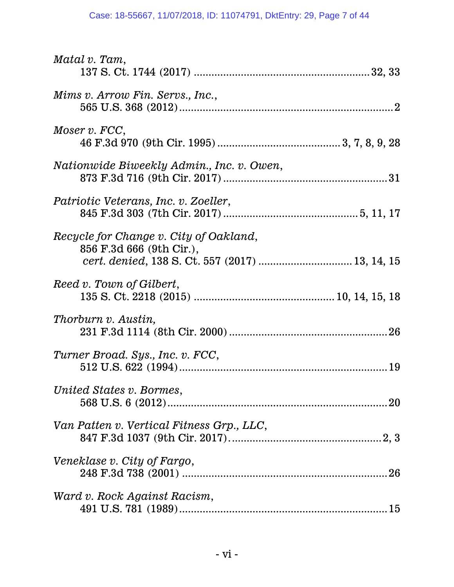| Matal v. Tam,                                                                                                         |
|-----------------------------------------------------------------------------------------------------------------------|
| Mims v. Arrow Fin. Servs., Inc.,                                                                                      |
| Moser v. FCC,                                                                                                         |
| <i>Nationwide Biweekly Admin., Inc. v. Owen,</i>                                                                      |
| Patriotic Veterans, Inc. v. Zoeller,                                                                                  |
| Recycle for Change v. City of Oakland,<br>856 F.3d 666 (9th Cir.),<br>cert. denied, 138 S. Ct. 557 (2017)  13, 14, 15 |
| Reed v. Town of Gilbert,                                                                                              |
| Thorburn v. Austin,                                                                                                   |
| Turner Broad. Sys., Inc. v. FCC,                                                                                      |
| United States v. Bormes,                                                                                              |
| Van Patten v. Vertical Fitness Grp., LLC,                                                                             |
| Veneklase v. City of Fargo,                                                                                           |
| Ward v. Rock Against Racism,                                                                                          |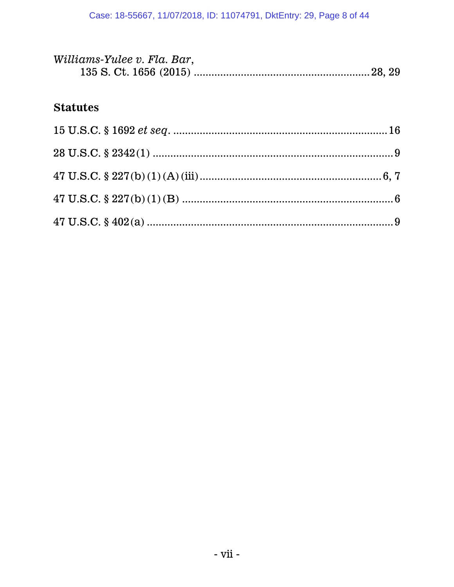| Williams-Yulee v. Fla. Bar, |  |
|-----------------------------|--|
|                             |  |

# **Statutes**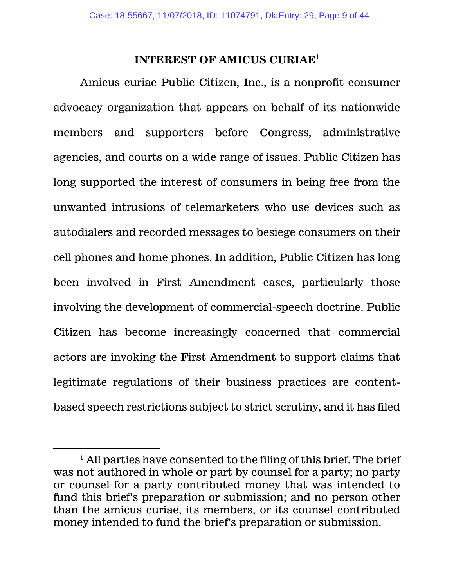#### **INTEREST OF AMICUS CURIAE<sup>1</sup>**

Amicus curiae Public Citizen, Inc., is a nonprofit consumer advocacy organization that appears on behalf of its nationwide members and supporters before Congress, administrative agencies, and courts on a wide range of issues. Public Citizen has long supported the interest of consumers in being free from the unwanted intrusions of telemarketers who use devices such as autodialers and recorded messages to besiege consumers on their cell phones and home phones. In addition, Public Citizen has long been involved in First Amendment cases, particularly those involving the development of commercial-speech doctrine. Public Citizen has become increasingly concerned that commercial actors are invoking the First Amendment to support claims that legitimate regulations of their business practices are contentbased speech restrictions subject to strict scrutiny, and it has filed

 $\overline{a}$ 

 $<sup>1</sup>$  All parties have consented to the filing of this brief. The brief</sup> was not authored in whole or part by counsel for a party; no party or counsel for a party contributed money that was intended to fund this brief's preparation or submission; and no person other than the amicus curiae, its members, or its counsel contributed money intended to fund the brief's preparation or submission.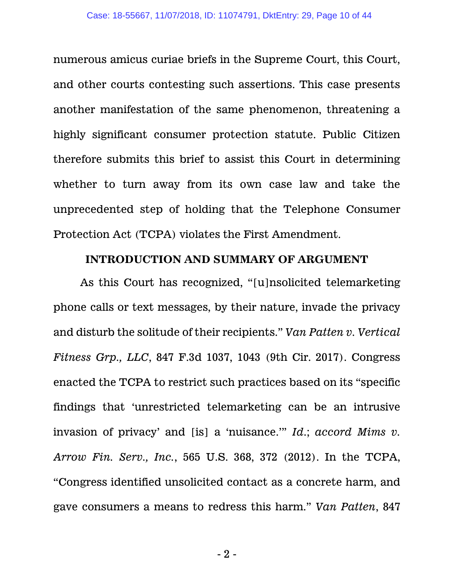numerous amicus curiae briefs in the Supreme Court, this Court, and other courts contesting such assertions. This case presents another manifestation of the same phenomenon, threatening a highly significant consumer protection statute. Public Citizen therefore submits this brief to assist this Court in determining whether to turn away from its own case law and take the unprecedented step of holding that the Telephone Consumer Protection Act (TCPA) violates the First Amendment.

#### **INTRODUCTION AND SUMMARY OF ARGUMENT**

As this Court has recognized, "[u]nsolicited telemarketing phone calls or text messages, by their nature, invade the privacy and disturb the solitude of their recipients." *Van Patten v. Vertical Fitness Grp., LLC*, 847 F.3d 1037, 1043 (9th Cir. 2017). Congress enacted the TCPA to restrict such practices based on its "specific findings that 'unrestricted telemarketing can be an intrusive invasion of privacy' and [is] a 'nuisance.'" *Id*.; *accord Mims v. Arrow Fin. Serv., Inc.*, 565 U.S. 368, 372 (2012). In the TCPA, "Congress identified unsolicited contact as a concrete harm, and gave consumers a means to redress this harm." *Van Patten*, 847

- 2 -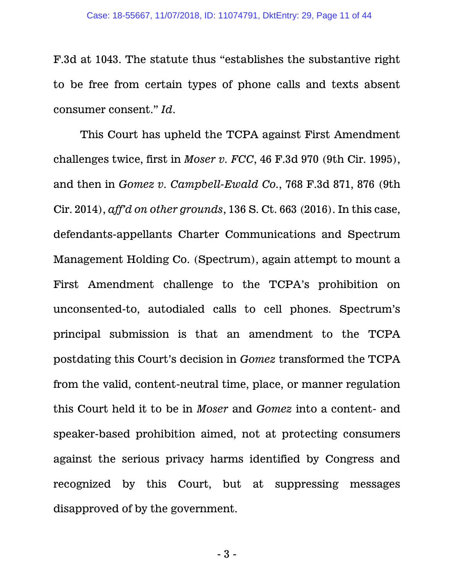F.3d at 1043. The statute thus "establishes the substantive right to be free from certain types of phone calls and texts absent consumer consent." *Id*.

This Court has upheld the TCPA against First Amendment challenges twice, first in *Moser v. FCC*, 46 F.3d 970 (9th Cir. 1995), and then in *Gomez v. Campbell-Ewald Co.*, 768 F.3d 871, 876 (9th Cir. 2014), *aff'd on other grounds*, 136 S. Ct. 663 (2016). In this case, defendants-appellants Charter Communications and Spectrum Management Holding Co. (Spectrum), again attempt to mount a First Amendment challenge to the TCPA's prohibition on unconsented-to, autodialed calls to cell phones. Spectrum's principal submission is that an amendment to the TCPA postdating this Court's decision in *Gomez* transformed the TCPA from the valid, content-neutral time, place, or manner regulation this Court held it to be in *Moser* and *Gomez* into a content- and speaker-based prohibition aimed, not at protecting consumers against the serious privacy harms identified by Congress and recognized by this Court, but at suppressing messages disapproved of by the government.

- 3 -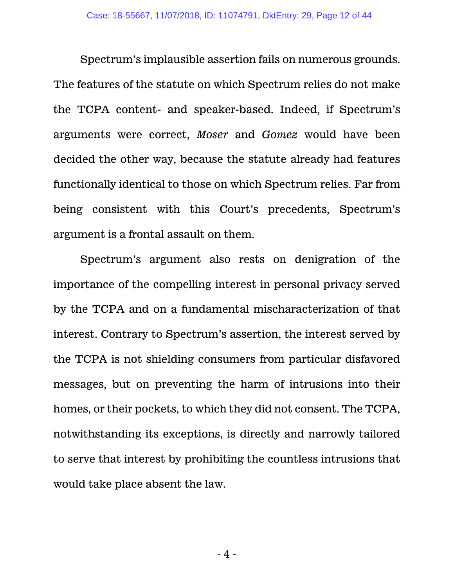Spectrum's implausible assertion fails on numerous grounds. The features of the statute on which Spectrum relies do not make the TCPA content- and speaker-based. Indeed, if Spectrum's arguments were correct, *Moser* and *Gomez* would have been decided the other way, because the statute already had features functionally identical to those on which Spectrum relies. Far from being consistent with this Court's precedents, Spectrum's argument is a frontal assault on them.

Spectrum's argument also rests on denigration of the importance of the compelling interest in personal privacy served by the TCPA and on a fundamental mischaracterization of that interest. Contrary to Spectrum's assertion, the interest served by the TCPA is not shielding consumers from particular disfavored messages, but on preventing the harm of intrusions into their homes, or their pockets, to which they did not consent. The TCPA, notwithstanding its exceptions, is directly and narrowly tailored to serve that interest by prohibiting the countless intrusions that would take place absent the law.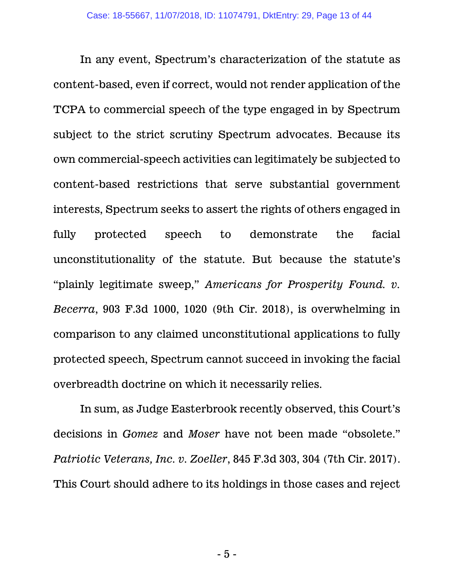In any event, Spectrum's characterization of the statute as content-based, even if correct, would not render application of the TCPA to commercial speech of the type engaged in by Spectrum subject to the strict scrutiny Spectrum advocates. Because its own commercial-speech activities can legitimately be subjected to content-based restrictions that serve substantial government interests, Spectrum seeks to assert the rights of others engaged in fully protected speech to demonstrate the facial unconstitutionality of the statute. But because the statute's "plainly legitimate sweep," *Americans for Prosperity Found. v. Becerra*, 903 F.3d 1000, 1020 (9th Cir. 2018), is overwhelming in comparison to any claimed unconstitutional applications to fully protected speech, Spectrum cannot succeed in invoking the facial overbreadth doctrine on which it necessarily relies.

In sum, as Judge Easterbrook recently observed, this Court's decisions in *Gomez* and *Moser* have not been made "obsolete." *Patriotic Veterans, Inc. v. Zoeller*, 845 F.3d 303, 304 (7th Cir. 2017). This Court should adhere to its holdings in those cases and reject

- 5 -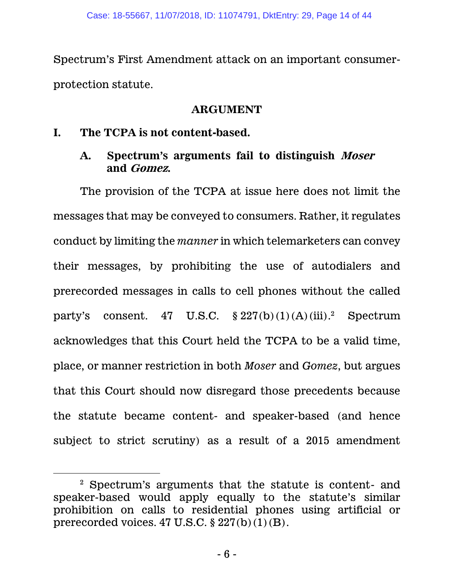Spectrum's First Amendment attack on an important consumerprotection statute.

### **ARGUMENT**

## **I. The TCPA is not content-based.**

 $\overline{a}$ 

## **A. Spectrum's arguments fail to distinguish Moser and Gomez.**

The provision of the TCPA at issue here does not limit the messages that may be conveyed to consumers. Rather, it regulates conduct by limiting the *manner* in which telemarketers can convey their messages, by prohibiting the use of autodialers and prerecorded messages in calls to cell phones without the called party's consent. 47 U.S.C.  $\S 227(b)(1)(A)(iii).$ <sup>2</sup> Spectrum acknowledges that this Court held the TCPA to be a valid time, place, or manner restriction in both *Moser* and *Gomez*, but argues that this Court should now disregard those precedents because the statute became content- and speaker-based (and hence subject to strict scrutiny) as a result of a 2015 amendment

<sup>2</sup> Spectrum's arguments that the statute is content- and speaker-based would apply equally to the statute's similar prohibition on calls to residential phones using artificial or prerecorded voices.  $47 \text{ U.S.C.}$   $\S 227(b)(1)(B)$ .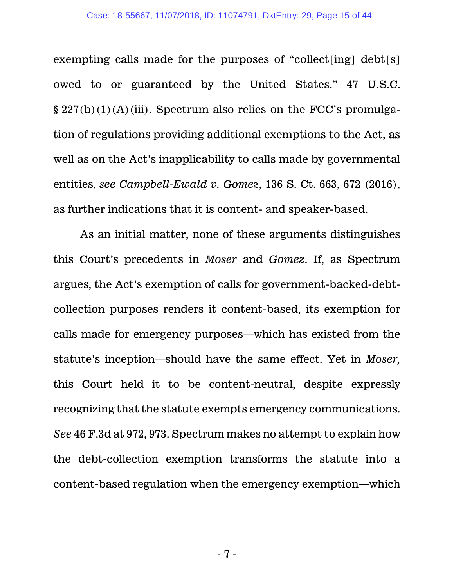exempting calls made for the purposes of "collect[ing] debt[s] owed to or guaranteed by the United States." 47 U.S.C. § 227(b)(1)(A)(iii). Spectrum also relies on the FCC's promulgation of regulations providing additional exemptions to the Act, as well as on the Act's inapplicability to calls made by governmental entities, *see Campbell-Ewald v. Gomez*, 136 S. Ct. 663, 672 (2016), as further indications that it is content- and speaker-based.

As an initial matter, none of these arguments distinguishes this Court's precedents in *Moser* and *Gomez*. If, as Spectrum argues, the Act's exemption of calls for government-backed-debtcollection purposes renders it content-based, its exemption for calls made for emergency purposes—which has existed from the statute's inception—should have the same effect. Yet in *Moser,* this Court held it to be content-neutral, despite expressly recognizing that the statute exempts emergency communications. *See* 46 F.3d at 972, 973. Spectrum makes no attempt to explain how the debt-collection exemption transforms the statute into a content-based regulation when the emergency exemption—which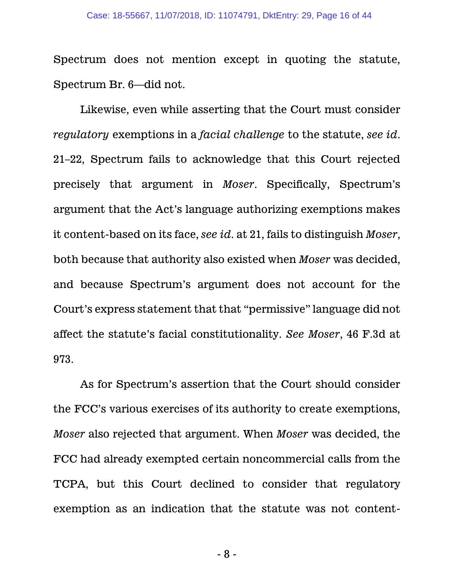Spectrum does not mention except in quoting the statute, Spectrum Br. 6—did not.

Likewise, even while asserting that the Court must consider *regulatory* exemptions in a *facial challenge* to the statute, *see id*. 21–22, Spectrum fails to acknowledge that this Court rejected precisely that argument in *Moser*. Specifically, Spectrum's argument that the Act's language authorizing exemptions makes it content-based on its face, *see id*. at 21, fails to distinguish *Moser*, both because that authority also existed when *Moser* was decided, and because Spectrum's argument does not account for the Court's express statement that that "permissive" language did not affect the statute's facial constitutionality. *See Moser*, 46 F.3d at 973.

As for Spectrum's assertion that the Court should consider the FCC's various exercises of its authority to create exemptions, *Moser* also rejected that argument. When *Moser* was decided, the FCC had already exempted certain noncommercial calls from the TCPA, but this Court declined to consider that regulatory exemption as an indication that the statute was not content-

- 8 -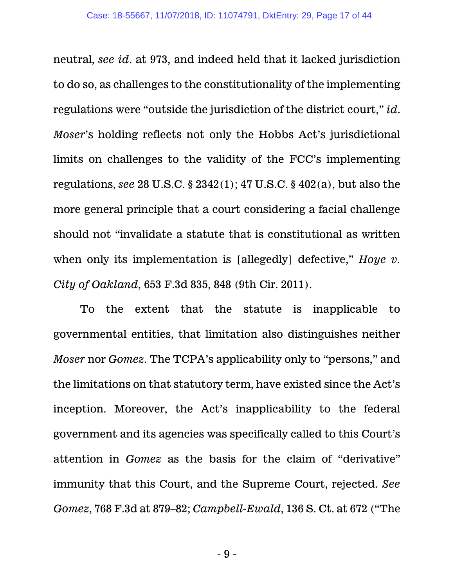neutral, *see id*. at 973, and indeed held that it lacked jurisdiction to do so, as challenges to the constitutionality of the implementing regulations were "outside the jurisdiction of the district court," *id*. *Moser*'s holding reflects not only the Hobbs Act's jurisdictional limits on challenges to the validity of the FCC's implementing regulations, *see* 28 U.S.C. § 2342(1); 47 U.S.C. § 402(a), but also the more general principle that a court considering a facial challenge should not "invalidate a statute that is constitutional as written when only its implementation is [allegedly] defective," *Hoye v. City of Oakland*, 653 F.3d 835, 848 (9th Cir. 2011).

To the extent that the statute is inapplicable to governmental entities, that limitation also distinguishes neither *Moser* nor *Gomez*. The TCPA's applicability only to "persons," and the limitations on that statutory term, have existed since the Act's inception. Moreover, the Act's inapplicability to the federal government and its agencies was specifically called to this Court's attention in *Gomez* as the basis for the claim of "derivative" immunity that this Court, and the Supreme Court, rejected. *See Gomez*, 768 F.3d at 879–82; *Campbell-Ewald*, 136 S. Ct. at 672 ("The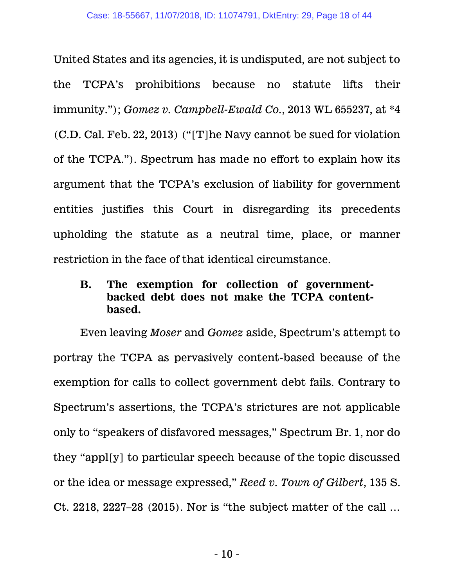United States and its agencies, it is undisputed, are not subject to the TCPA's prohibitions because no statute lifts their immunity."); *Gomez v. Campbell-Ewald Co.*, 2013 WL 655237, at \*4 (C.D. Cal. Feb. 22, 2013) ("[T]he Navy cannot be sued for violation of the TCPA."). Spectrum has made no effort to explain how its argument that the TCPA's exclusion of liability for government entities justifies this Court in disregarding its precedents upholding the statute as a neutral time, place, or manner restriction in the face of that identical circumstance.

# **B. The exemption for collection of governmentbacked debt does not make the TCPA contentbased.**

Even leaving *Moser* and *Gomez* aside, Spectrum's attempt to portray the TCPA as pervasively content-based because of the exemption for calls to collect government debt fails. Contrary to Spectrum's assertions, the TCPA's strictures are not applicable only to "speakers of disfavored messages," Spectrum Br. 1, nor do they "appl[y] to particular speech because of the topic discussed or the idea or message expressed," *Reed v. Town of Gilbert*, 135 S. Ct. 2218, 2227–28 (2015). Nor is "the subject matter of the call …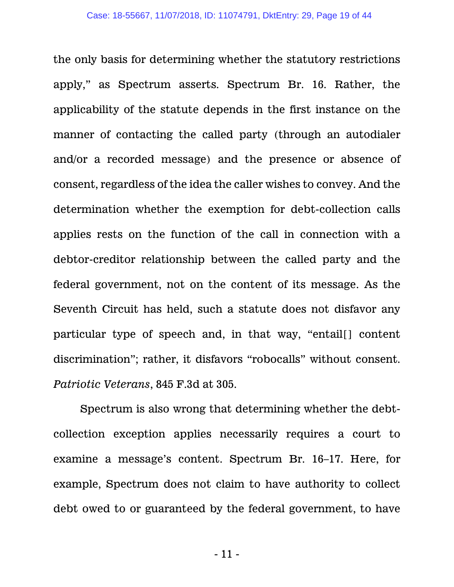the only basis for determining whether the statutory restrictions apply," as Spectrum asserts. Spectrum Br. 16. Rather, the applicability of the statute depends in the first instance on the manner of contacting the called party (through an autodialer and/or a recorded message) and the presence or absence of consent, regardless of the idea the caller wishes to convey. And the determination whether the exemption for debt-collection calls applies rests on the function of the call in connection with a debtor-creditor relationship between the called party and the federal government, not on the content of its message. As the Seventh Circuit has held, such a statute does not disfavor any particular type of speech and, in that way, "entail[] content discrimination"; rather, it disfavors "robocalls" without consent. *Patriotic Veterans*, 845 F.3d at 305.

Spectrum is also wrong that determining whether the debtcollection exception applies necessarily requires a court to examine a message's content. Spectrum Br. 16–17. Here, for example, Spectrum does not claim to have authority to collect debt owed to or guaranteed by the federal government, to have

- 11 -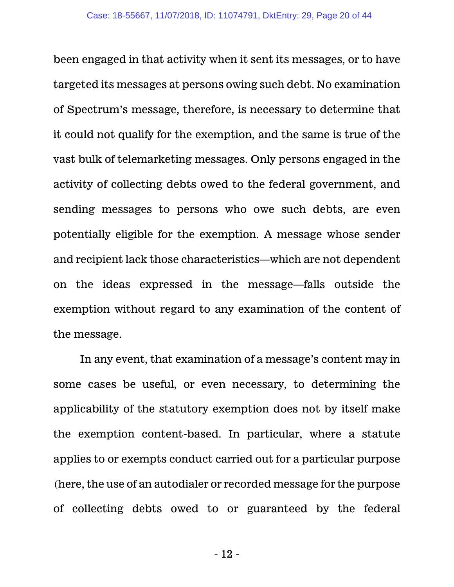been engaged in that activity when it sent its messages, or to have targeted its messages at persons owing such debt. No examination of Spectrum's message, therefore, is necessary to determine that it could not qualify for the exemption, and the same is true of the vast bulk of telemarketing messages. Only persons engaged in the activity of collecting debts owed to the federal government, and sending messages to persons who owe such debts, are even potentially eligible for the exemption. A message whose sender and recipient lack those characteristics—which are not dependent on the ideas expressed in the message—falls outside the exemption without regard to any examination of the content of the message.

In any event, that examination of a message's content may in some cases be useful, or even necessary, to determining the applicability of the statutory exemption does not by itself make the exemption content-based. In particular, where a statute applies to or exempts conduct carried out for a particular purpose (here, the use of an autodialer or recorded message for the purpose of collecting debts owed to or guaranteed by the federal

- 12 -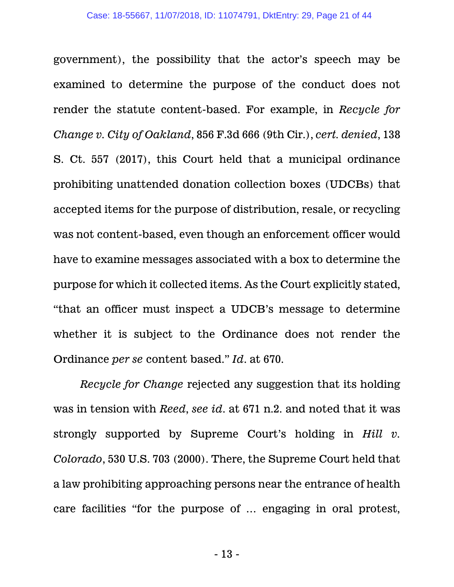government), the possibility that the actor's speech may be examined to determine the purpose of the conduct does not render the statute content-based. For example, in *Recycle for Change v. City of Oakland*, 856 F.3d 666 (9th Cir.), *cert. denied*, 138 S. Ct. 557 (2017), this Court held that a municipal ordinance prohibiting unattended donation collection boxes (UDCBs) that accepted items for the purpose of distribution, resale, or recycling was not content-based, even though an enforcement officer would have to examine messages associated with a box to determine the purpose for which it collected items. As the Court explicitly stated, "that an officer must inspect a UDCB's message to determine whether it is subject to the Ordinance does not render the Ordinance *per se* content based." *Id*. at 670.

*Recycle for Change* rejected any suggestion that its holding was in tension with *Reed*, *see id*. at 671 n.2. and noted that it was strongly supported by Supreme Court's holding in *Hill v. Colorado*, 530 U.S. 703 (2000). There, the Supreme Court held that a law prohibiting approaching persons near the entrance of health care facilities "for the purpose of … engaging in oral protest,

- 13 -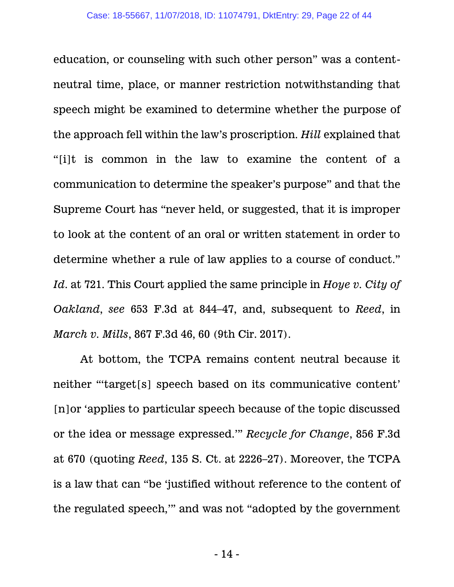education, or counseling with such other person" was a contentneutral time, place, or manner restriction notwithstanding that speech might be examined to determine whether the purpose of the approach fell within the law's proscription. *Hill* explained that "[i]t is common in the law to examine the content of a communication to determine the speaker's purpose" and that the Supreme Court has "never held, or suggested, that it is improper to look at the content of an oral or written statement in order to determine whether a rule of law applies to a course of conduct." *Id*. at 721. This Court applied the same principle in *Hoye v. City of Oakland*, *see* 653 F.3d at 844–47, and, subsequent to *Reed*, in *March v. Mills*, 867 F.3d 46, 60 (9th Cir. 2017).

At bottom, the TCPA remains content neutral because it neither "'target[s] speech based on its communicative content' [n]or 'applies to particular speech because of the topic discussed or the idea or message expressed.'" *Recycle for Change*, 856 F.3d at 670 (quoting *Reed*, 135 S. Ct. at 2226–27). Moreover, the TCPA is a law that can "be 'justified without reference to the content of the regulated speech,'" and was not "adopted by the government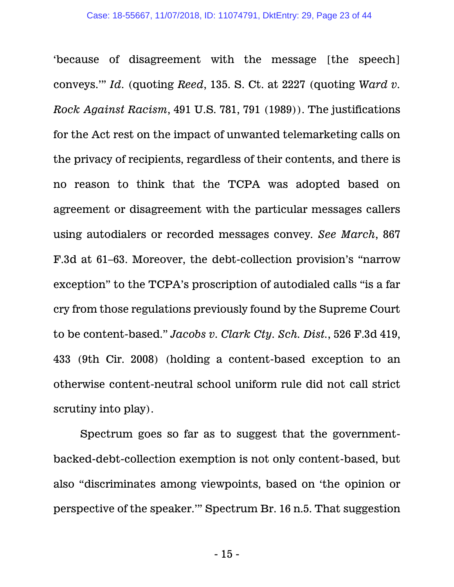'because of disagreement with the message [the speech] conveys.'" *Id*. (quoting *Reed*, 135. S. Ct. at 2227 (quoting *Ward v. Rock Against Racism*, 491 U.S. 781, 791 (1989)). The justifications for the Act rest on the impact of unwanted telemarketing calls on the privacy of recipients, regardless of their contents, and there is no reason to think that the TCPA was adopted based on agreement or disagreement with the particular messages callers using autodialers or recorded messages convey*. See March*, 867 F.3d at 61–63. Moreover, the debt-collection provision's "narrow exception" to the TCPA's proscription of autodialed calls "is a far cry from those regulations previously found by the Supreme Court to be content-based." *Jacobs v. Clark Cty. Sch. Dist.*, 526 F.3d 419, 433 (9th Cir. 2008) (holding a content-based exception to an otherwise content-neutral school uniform rule did not call strict scrutiny into play).

Spectrum goes so far as to suggest that the governmentbacked-debt-collection exemption is not only content-based, but also "discriminates among viewpoints, based on 'the opinion or perspective of the speaker.'" Spectrum Br. 16 n.5. That suggestion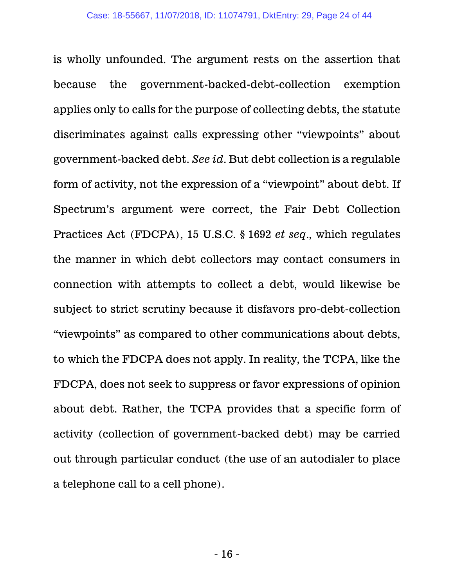is wholly unfounded. The argument rests on the assertion that because the government-backed-debt-collection exemption applies only to calls for the purpose of collecting debts, the statute discriminates against calls expressing other "viewpoints" about government-backed debt. *See id*. But debt collection is a regulable form of activity, not the expression of a "viewpoint" about debt. If Spectrum's argument were correct, the Fair Debt Collection Practices Act (FDCPA), 15 U.S.C. § 1692 *et seq*., which regulates the manner in which debt collectors may contact consumers in connection with attempts to collect a debt, would likewise be subject to strict scrutiny because it disfavors pro-debt-collection "viewpoints" as compared to other communications about debts, to which the FDCPA does not apply. In reality, the TCPA, like the FDCPA, does not seek to suppress or favor expressions of opinion about debt. Rather, the TCPA provides that a specific form of activity (collection of government-backed debt) may be carried out through particular conduct (the use of an autodialer to place a telephone call to a cell phone).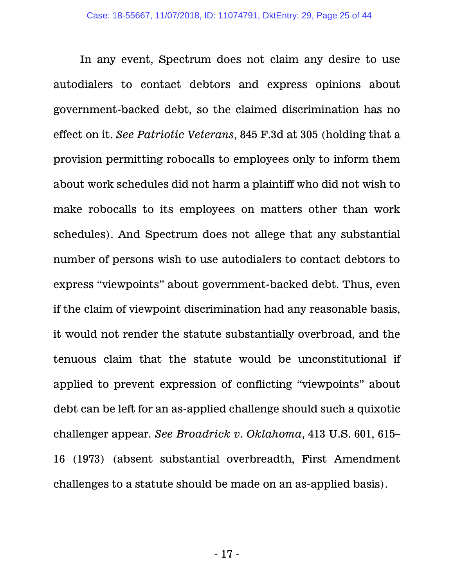In any event, Spectrum does not claim any desire to use autodialers to contact debtors and express opinions about government-backed debt, so the claimed discrimination has no effect on it. *See Patriotic Veterans*, 845 F.3d at 305 (holding that a provision permitting robocalls to employees only to inform them about work schedules did not harm a plaintiff who did not wish to make robocalls to its employees on matters other than work schedules). And Spectrum does not allege that any substantial number of persons wish to use autodialers to contact debtors to express "viewpoints" about government-backed debt. Thus, even if the claim of viewpoint discrimination had any reasonable basis, it would not render the statute substantially overbroad, and the tenuous claim that the statute would be unconstitutional if applied to prevent expression of conflicting "viewpoints" about debt can be left for an as-applied challenge should such a quixotic challenger appear. *See Broadrick v. Oklahoma*, 413 U.S. 601, 615– 16 (1973) (absent substantial overbreadth, First Amendment challenges to a statute should be made on an as-applied basis).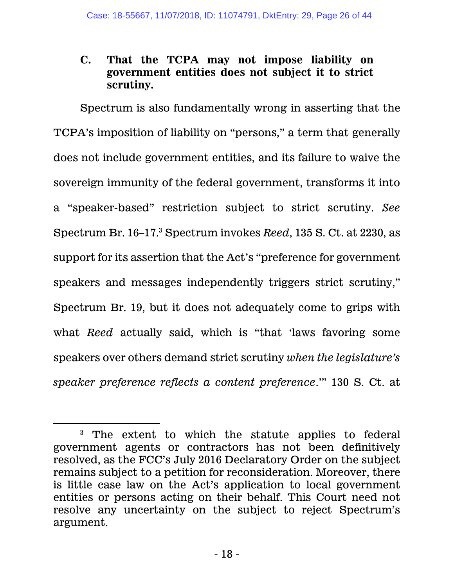## **C. That the TCPA may not impose liability on government entities does not subject it to strict scrutiny.**

Spectrum is also fundamentally wrong in asserting that the TCPA's imposition of liability on "persons," a term that generally does not include government entities, and its failure to waive the sovereign immunity of the federal government, transforms it into a "speaker-based" restriction subject to strict scrutiny. *See* Spectrum Br. 16–17. <sup>3</sup> Spectrum invokes *Reed*, 135 S. Ct. at 2230, as support for its assertion that the Act's "preference for government speakers and messages independently triggers strict scrutiny," Spectrum Br. 19, but it does not adequately come to grips with what *Reed* actually said, which is "that 'laws favoring some speakers over others demand strict scrutiny *when the legislature's speaker preference reflects a content preference*.'" 130 S. Ct. at

 $\overline{a}$ 

<sup>3</sup> The extent to which the statute applies to federal government agents or contractors has not been definitively resolved, as the FCC's July 2016 Declaratory Order on the subject remains subject to a petition for reconsideration. Moreover, there is little case law on the Act's application to local government entities or persons acting on their behalf. This Court need not resolve any uncertainty on the subject to reject Spectrum's argument.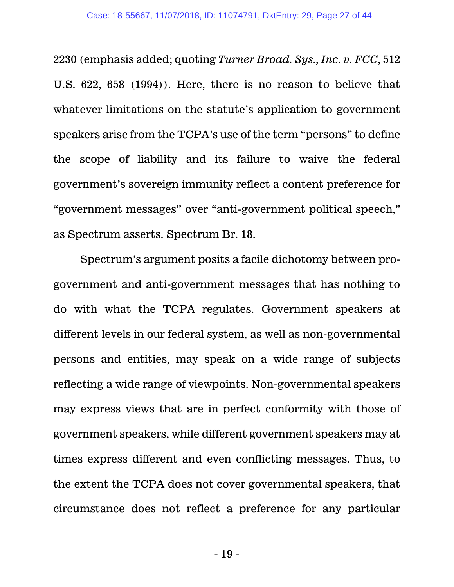2230 (emphasis added; quoting *Turner Broad. Sys., Inc. v. FCC*, 512 U.S. 622, 658 (1994)). Here, there is no reason to believe that whatever limitations on the statute's application to government speakers arise from the TCPA's use of the term "persons" to define the scope of liability and its failure to waive the federal government's sovereign immunity reflect a content preference for "government messages" over "anti-government political speech," as Spectrum asserts. Spectrum Br. 18.

Spectrum's argument posits a facile dichotomy between progovernment and anti-government messages that has nothing to do with what the TCPA regulates. Government speakers at different levels in our federal system, as well as non-governmental persons and entities, may speak on a wide range of subjects reflecting a wide range of viewpoints. Non-governmental speakers may express views that are in perfect conformity with those of government speakers, while different government speakers may at times express different and even conflicting messages. Thus, to the extent the TCPA does not cover governmental speakers, that circumstance does not reflect a preference for any particular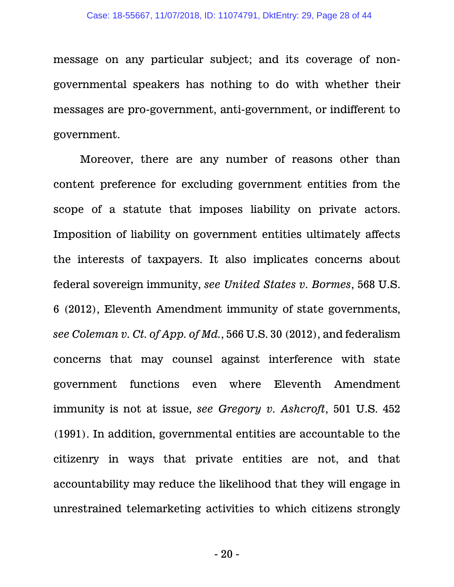message on any particular subject; and its coverage of nongovernmental speakers has nothing to do with whether their messages are pro-government, anti-government, or indifferent to government.

Moreover, there are any number of reasons other than content preference for excluding government entities from the scope of a statute that imposes liability on private actors. Imposition of liability on government entities ultimately affects the interests of taxpayers. It also implicates concerns about federal sovereign immunity, *see United States v. Bormes*, 568 U.S. 6 (2012), Eleventh Amendment immunity of state governments, *see Coleman v. Ct. of App. of Md.*, 566 U.S. 30 (2012), and federalism concerns that may counsel against interference with state government functions even where Eleventh Amendment immunity is not at issue, *see Gregory v. Ashcroft*, 501 U.S. 452 (1991). In addition, governmental entities are accountable to the citizenry in ways that private entities are not, and that accountability may reduce the likelihood that they will engage in unrestrained telemarketing activities to which citizens strongly

- 20 -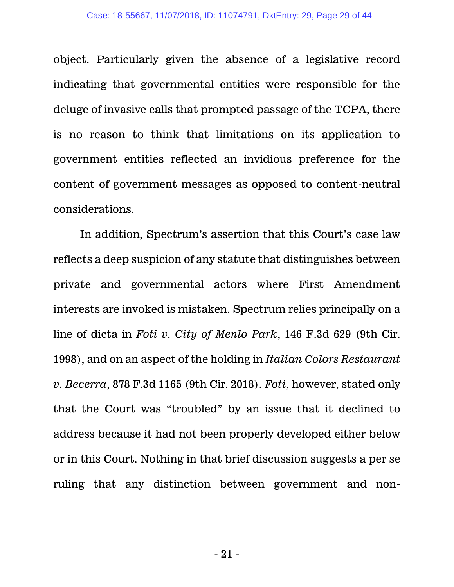object. Particularly given the absence of a legislative record indicating that governmental entities were responsible for the deluge of invasive calls that prompted passage of the TCPA, there is no reason to think that limitations on its application to government entities reflected an invidious preference for the content of government messages as opposed to content-neutral considerations.

In addition, Spectrum's assertion that this Court's case law reflects a deep suspicion of any statute that distinguishes between private and governmental actors where First Amendment interests are invoked is mistaken. Spectrum relies principally on a line of dicta in *Foti v. City of Menlo Park*, 146 F.3d 629 (9th Cir. 1998), and on an aspect of the holding in *Italian Colors Restaurant v. Becerra*, 878 F.3d 1165 (9th Cir. 2018). *Foti*, however, stated only that the Court was "troubled" by an issue that it declined to address because it had not been properly developed either below or in this Court. Nothing in that brief discussion suggests a per se ruling that any distinction between government and non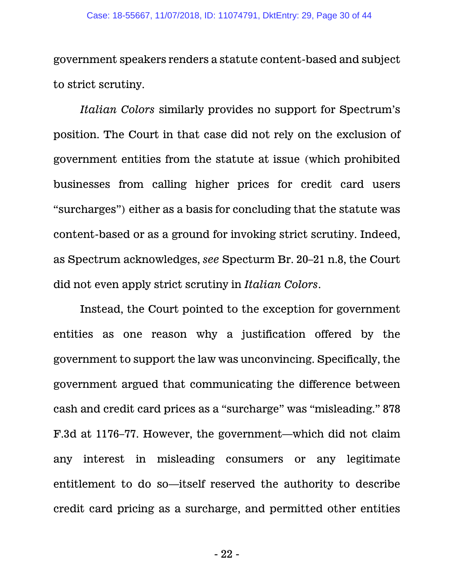government speakers renders a statute content-based and subject to strict scrutiny.

*Italian Colors* similarly provides no support for Spectrum's position. The Court in that case did not rely on the exclusion of government entities from the statute at issue (which prohibited businesses from calling higher prices for credit card users "surcharges") either as a basis for concluding that the statute was content-based or as a ground for invoking strict scrutiny. Indeed, as Spectrum acknowledges, *see* Specturm Br. 20–21 n.8, the Court did not even apply strict scrutiny in *Italian Colors*.

Instead, the Court pointed to the exception for government entities as one reason why a justification offered by the government to support the law was unconvincing. Specifically, the government argued that communicating the difference between cash and credit card prices as a "surcharge" was "misleading." 878 F.3d at 1176–77. However, the government—which did not claim any interest in misleading consumers or any legitimate entitlement to do so—itself reserved the authority to describe credit card pricing as a surcharge, and permitted other entities

- 22 -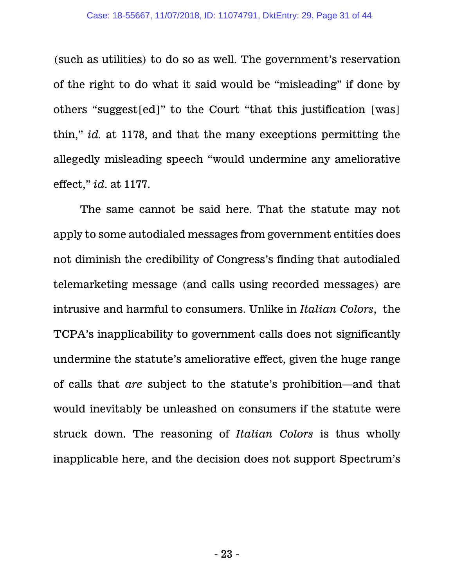(such as utilities) to do so as well. The government's reservation of the right to do what it said would be "misleading" if done by others "suggest[ed]" to the Court "that this justification [was] thin," *id.* at 1178, and that the many exceptions permitting the allegedly misleading speech "would undermine any ameliorative effect," *id*. at 1177.

The same cannot be said here. That the statute may not apply to some autodialed messages from government entities does not diminish the credibility of Congress's finding that autodialed telemarketing message (and calls using recorded messages) are intrusive and harmful to consumers. Unlike in *Italian Colors*, the TCPA's inapplicability to government calls does not significantly undermine the statute's ameliorative effect, given the huge range of calls that *are* subject to the statute's prohibition—and that would inevitably be unleashed on consumers if the statute were struck down. The reasoning of *Italian Colors* is thus wholly inapplicable here, and the decision does not support Spectrum's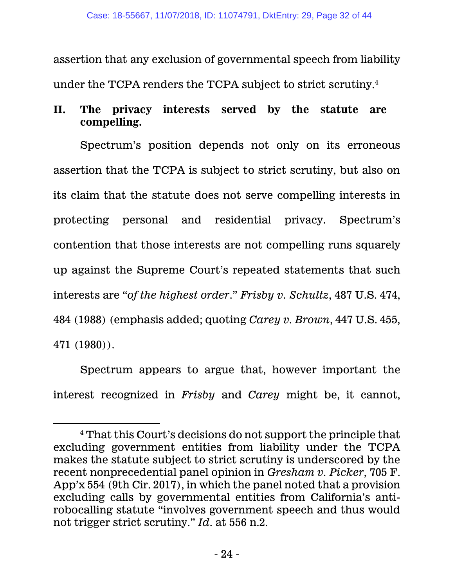assertion that any exclusion of governmental speech from liability under the TCPA renders the TCPA subject to strict scrutiny.<sup>4</sup>

# **II. The privacy interests served by the statute are compelling.**

Spectrum's position depends not only on its erroneous assertion that the TCPA is subject to strict scrutiny, but also on its claim that the statute does not serve compelling interests in protecting personal and residential privacy. Spectrum's contention that those interests are not compelling runs squarely up against the Supreme Court's repeated statements that such interests are "*of the highest order*." *Frisby v. Schultz*, 487 U.S. 474, 484 (1988) (emphasis added; quoting *Carey v. Brown*, 447 U.S. 455, 471 (1980)).

Spectrum appears to argue that, however important the interest recognized in *Frisby* and *Carey* might be, it cannot,

 $\overline{a}$ 

<sup>4</sup> That this Court's decisions do not support the principle that excluding government entities from liability under the TCPA makes the statute subject to strict scrutiny is underscored by the recent nonprecedential panel opinion in *Gresham v. Picker*, 705 F. App'x 554 (9th Cir. 2017), in which the panel noted that a provision excluding calls by governmental entities from California's antirobocalling statute "involves government speech and thus would not trigger strict scrutiny." *Id*. at 556 n.2.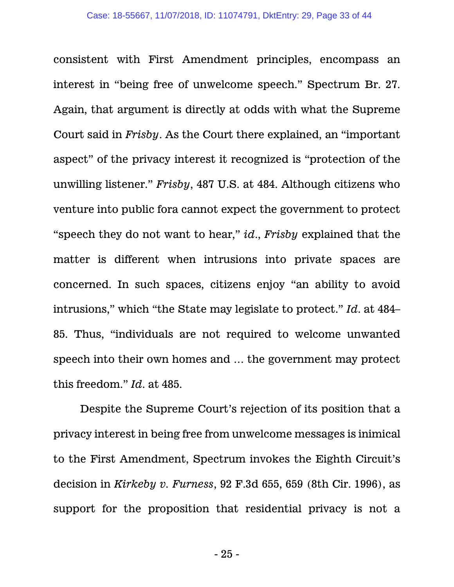consistent with First Amendment principles, encompass an interest in "being free of unwelcome speech." Spectrum Br. 27. Again, that argument is directly at odds with what the Supreme Court said in *Frisby*. As the Court there explained, an "important aspect" of the privacy interest it recognized is "protection of the unwilling listener." *Frisby*, 487 U.S. at 484. Although citizens who venture into public fora cannot expect the government to protect "speech they do not want to hear," *id*., *Frisby* explained that the matter is different when intrusions into private spaces are concerned. In such spaces, citizens enjoy "an ability to avoid intrusions," which "the State may legislate to protect." *Id*. at 484– 85. Thus, "individuals are not required to welcome unwanted speech into their own homes and … the government may protect this freedom." *Id*. at 485.

Despite the Supreme Court's rejection of its position that a privacy interest in being free from unwelcome messages is inimical to the First Amendment, Spectrum invokes the Eighth Circuit's decision in *Kirkeby v. Furness*, 92 F.3d 655, 659 (8th Cir. 1996), as support for the proposition that residential privacy is not a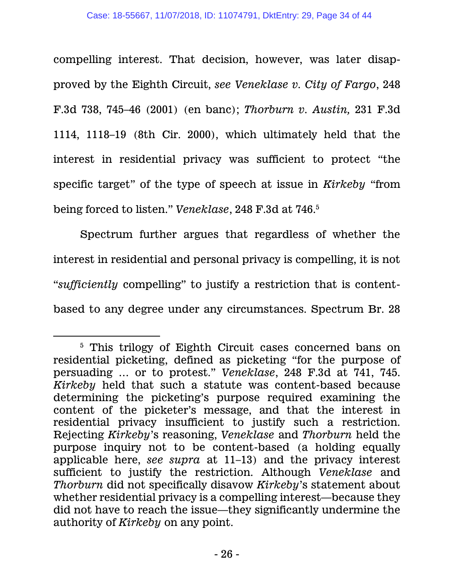compelling interest. That decision, however, was later disapproved by the Eighth Circuit, *see Veneklase v. City of Fargo*, 248 F.3d 738, 745–46 (2001) (en banc); *Thorburn v. Austin,* 231 F.3d 1114, 1118–19 (8th Cir. 2000), which ultimately held that the interest in residential privacy was sufficient to protect "the specific target" of the type of speech at issue in *Kirkeby* "from being forced to listen." *Veneklase*, 248 F.3d at 746.<sup>5</sup>

Spectrum further argues that regardless of whether the interest in residential and personal privacy is compelling, it is not "*sufficiently* compelling" to justify a restriction that is contentbased to any degree under any circumstances. Spectrum Br. 28

 $\overline{a}$ 

<sup>5</sup> This trilogy of Eighth Circuit cases concerned bans on residential picketing, defined as picketing "for the purpose of persuading … or to protest." *Veneklase*, 248 F.3d at 741, 745. *Kirkeby* held that such a statute was content-based because determining the picketing's purpose required examining the content of the picketer's message, and that the interest in residential privacy insufficient to justify such a restriction. Rejecting *Kirkeby*'s reasoning, *Veneklase* and *Thorburn* held the purpose inquiry not to be content-based (a holding equally applicable here, *see supra* at 11–13) and the privacy interest sufficient to justify the restriction. Although *Veneklase* and *Thorburn* did not specifically disavow *Kirkeby*'s statement about whether residential privacy is a compelling interest—because they did not have to reach the issue—they significantly undermine the authority of *Kirkeby* on any point.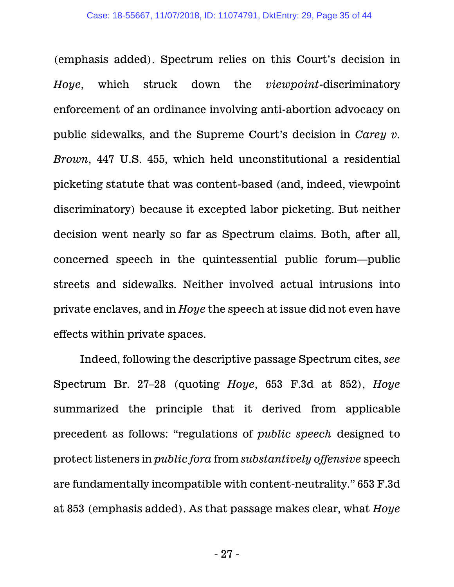(emphasis added). Spectrum relies on this Court's decision in *Hoye*, which struck down the *viewpoint*-discriminatory enforcement of an ordinance involving anti-abortion advocacy on public sidewalks, and the Supreme Court's decision in *Carey v. Brown*, 447 U.S. 455, which held unconstitutional a residential picketing statute that was content-based (and, indeed, viewpoint discriminatory) because it excepted labor picketing. But neither decision went nearly so far as Spectrum claims. Both, after all, concerned speech in the quintessential public forum—public streets and sidewalks. Neither involved actual intrusions into private enclaves, and in *Hoye* the speech at issue did not even have effects within private spaces.

Indeed, following the descriptive passage Spectrum cites, *see* Spectrum Br. 27–28 (quoting *Hoye*, 653 F.3d at 852), *Hoye* summarized the principle that it derived from applicable precedent as follows: "regulations of *public speech* designed to protect listeners in *public fora* from *substantively offensive* speech are fundamentally incompatible with content-neutrality." 653 F.3d at 853 (emphasis added). As that passage makes clear, what *Hoye*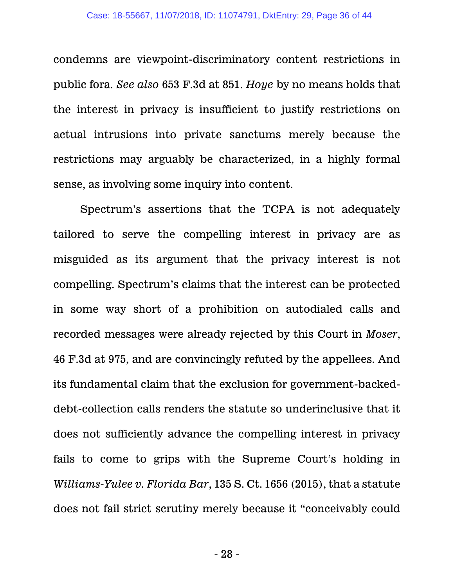condemns are viewpoint-discriminatory content restrictions in public fora. *See also* 653 F.3d at 851. *Hoye* by no means holds that the interest in privacy is insufficient to justify restrictions on actual intrusions into private sanctums merely because the restrictions may arguably be characterized, in a highly formal sense, as involving some inquiry into content.

Spectrum's assertions that the TCPA is not adequately tailored to serve the compelling interest in privacy are as misguided as its argument that the privacy interest is not compelling. Spectrum's claims that the interest can be protected in some way short of a prohibition on autodialed calls and recorded messages were already rejected by this Court in *Moser*, 46 F.3d at 975, and are convincingly refuted by the appellees. And its fundamental claim that the exclusion for government-backeddebt-collection calls renders the statute so underinclusive that it does not sufficiently advance the compelling interest in privacy fails to come to grips with the Supreme Court's holding in *Williams-Yulee v. Florida Bar*, 135 S. Ct. 1656 (2015), that a statute does not fail strict scrutiny merely because it "conceivably could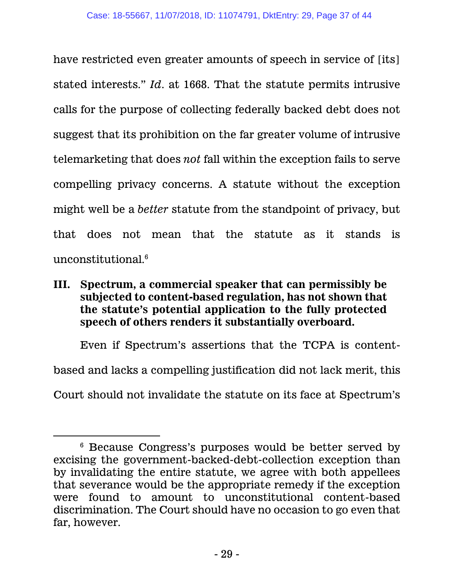have restricted even greater amounts of speech in service of [its] stated interests." *Id*. at 1668. That the statute permits intrusive calls for the purpose of collecting federally backed debt does not suggest that its prohibition on the far greater volume of intrusive telemarketing that does *not* fall within the exception fails to serve compelling privacy concerns. A statute without the exception might well be a *better* statute from the standpoint of privacy, but that does not mean that the statute as it stands is unconstitutional. 6

## **III. Spectrum, a commercial speaker that can permissibly be subjected to content-based regulation, has not shown that the statute's potential application to the fully protected speech of others renders it substantially overboard.**

Even if Spectrum's assertions that the TCPA is contentbased and lacks a compelling justification did not lack merit, this Court should not invalidate the statute on its face at Spectrum's

 $\overline{a}$ 

<sup>6</sup> Because Congress's purposes would be better served by excising the government-backed-debt-collection exception than by invalidating the entire statute, we agree with both appellees that severance would be the appropriate remedy if the exception were found to amount to unconstitutional content-based discrimination. The Court should have no occasion to go even that far, however.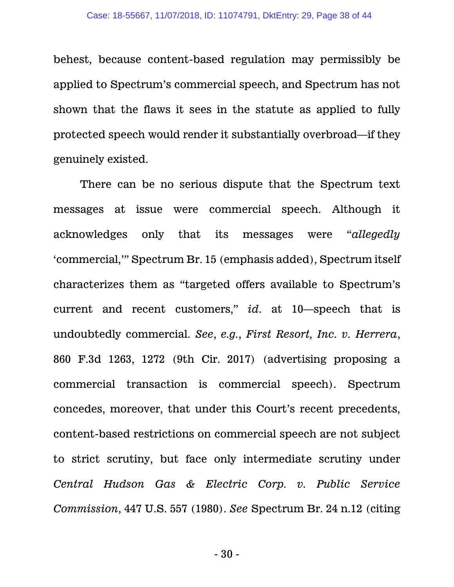behest, because content-based regulation may permissibly be applied to Spectrum's commercial speech, and Spectrum has not shown that the flaws it sees in the statute as applied to fully protected speech would render it substantially overbroad—if they genuinely existed.

There can be no serious dispute that the Spectrum text messages at issue were commercial speech. Although it acknowledges only that its messages were "*allegedly* 'commercial,'" Spectrum Br. 15 (emphasis added), Spectrum itself characterizes them as "targeted offers available to Spectrum's current and recent customers," *id*. at 10—speech that is undoubtedly commercial. *See*, *e.g.*, *First Resort, Inc. v. Herrera*, 860 F.3d 1263, 1272 (9th Cir. 2017) (advertising proposing a commercial transaction is commercial speech). Spectrum concedes, moreover, that under this Court's recent precedents, content-based restrictions on commercial speech are not subject to strict scrutiny, but face only intermediate scrutiny under *Central Hudson Gas & Electric Corp. v. Public Service Commission*, 447 U.S. 557 (1980). *See* Spectrum Br. 24 n.12 (citing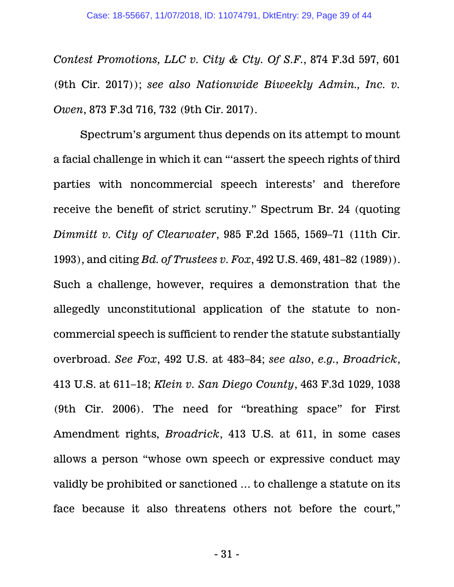*Contest Promotions, LLC v. City & Cty. Of S.F.*, 874 F.3d 597, 601 (9th Cir. 2017)); *see also Nationwide Biweekly Admin., Inc. v. Owen*, 873 F.3d 716, 732 (9th Cir. 2017).

Spectrum's argument thus depends on its attempt to mount a facial challenge in which it can "'assert the speech rights of third parties with noncommercial speech interests' and therefore receive the benefit of strict scrutiny." Spectrum Br. 24 (quoting *Dimmitt v. City of Clearwater*, 985 F.2d 1565, 1569–71 (11th Cir. 1993), and citing *Bd. of Trustees v. Fox*, 492 U.S. 469, 481–82 (1989)). Such a challenge, however, requires a demonstration that the allegedly unconstitutional application of the statute to noncommercial speech is sufficient to render the statute substantially overbroad. *See Fox*, 492 U.S. at 483–84; *see also*, *e.g.*, *Broadrick*, 413 U.S. at 611–18; *Klein v. San Diego County*, 463 F.3d 1029, 1038 (9th Cir. 2006). The need for "breathing space" for First Amendment rights, *Broadrick*, 413 U.S. at 611, in some cases allows a person "whose own speech or expressive conduct may validly be prohibited or sanctioned … to challenge a statute on its face because it also threatens others not before the court,"

- 31 -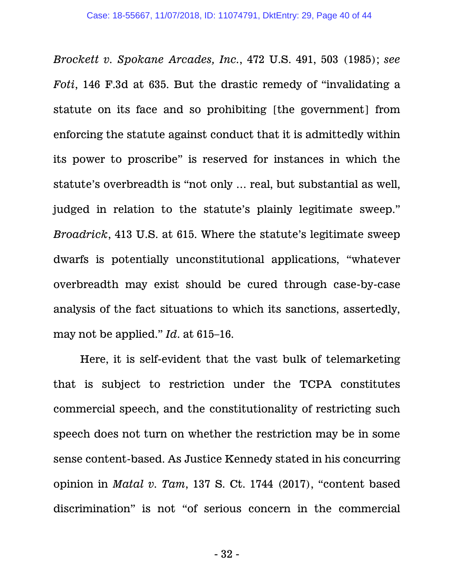*Brockett v. Spokane Arcades, Inc.*, 472 U.S. 491, 503 (1985); *see Foti*, 146 F.3d at 635. But the drastic remedy of "invalidating a statute on its face and so prohibiting [the government] from enforcing the statute against conduct that it is admittedly within its power to proscribe" is reserved for instances in which the statute's overbreadth is "not only … real, but substantial as well, judged in relation to the statute's plainly legitimate sweep." *Broadrick*, 413 U.S. at 615. Where the statute's legitimate sweep dwarfs is potentially unconstitutional applications, "whatever overbreadth may exist should be cured through case-by-case analysis of the fact situations to which its sanctions, assertedly, may not be applied." *Id*. at 615–16.

Here, it is self-evident that the vast bulk of telemarketing that is subject to restriction under the TCPA constitutes commercial speech, and the constitutionality of restricting such speech does not turn on whether the restriction may be in some sense content-based. As Justice Kennedy stated in his concurring opinion in *Matal v. Tam*, 137 S. Ct. 1744 (2017), "content based discrimination" is not "of serious concern in the commercial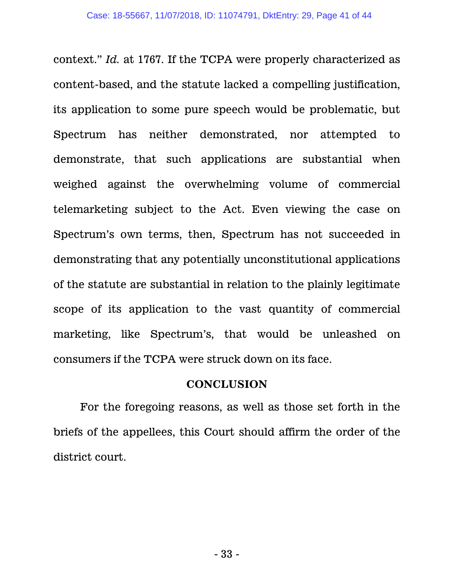context." *Id.* at 1767. If the TCPA were properly characterized as content-based, and the statute lacked a compelling justification, its application to some pure speech would be problematic, but Spectrum has neither demonstrated, nor attempted to demonstrate, that such applications are substantial when weighed against the overwhelming volume of commercial telemarketing subject to the Act. Even viewing the case on Spectrum's own terms, then, Spectrum has not succeeded in demonstrating that any potentially unconstitutional applications of the statute are substantial in relation to the plainly legitimate scope of its application to the vast quantity of commercial marketing, like Spectrum's, that would be unleashed on consumers if the TCPA were struck down on its face.

#### **CONCLUSION**

For the foregoing reasons, as well as those set forth in the briefs of the appellees, this Court should affirm the order of the district court.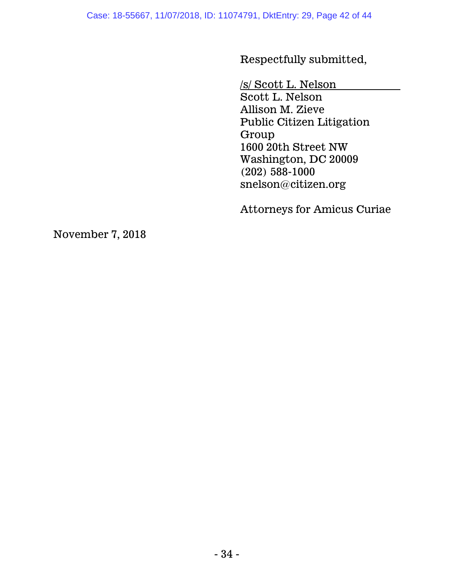Respectfully submitted,

/s/ Scott L. Nelson

Scott L. Nelson Allison M. Zieve Public Citizen Litigation Group 1600 20th Street NW Washington, DC 20009 (202) 588-1000 snelson@citizen.org

Attorneys for Amicus Curiae

November 7, 2018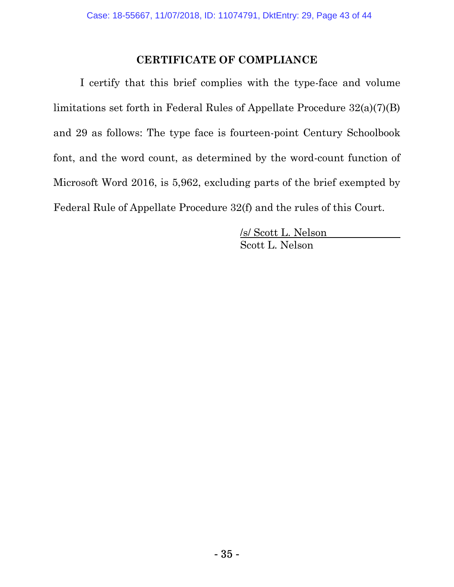#### **CERTIFICATE OF COMPLIANCE**

I certify that this brief complies with the type-face and volume limitations set forth in Federal Rules of Appellate Procedure 32(a)(7)(B) and 29 as follows: The type face is fourteen-point Century Schoolbook font, and the word count, as determined by the word-count function of Microsoft Word 2016, is 5,962, excluding parts of the brief exempted by Federal Rule of Appellate Procedure 32(f) and the rules of this Court.

> /s/ Scott L. Nelson Scott L. Nelson